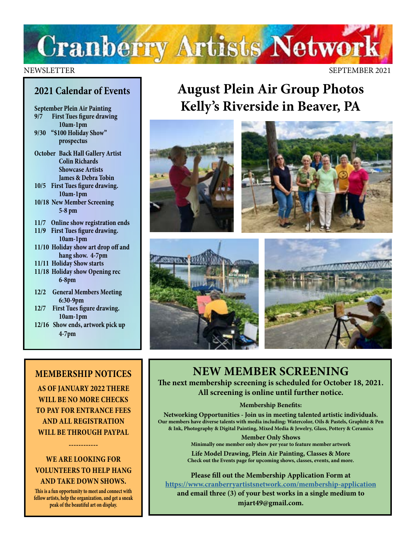

#### NEWSLETTER SEPTEMBER 2021

#### **2021 Calendar of Events**

**September Plein Air Painting 9/7 First Tues figure drawing 10am-1pm 9/30 "\$100 Holiday Show"** 

**prospectus** 

- **October Back Hall Gallery Artist Colin Richards Showcase Artists James & Debra Tobin**
- **10/5 First Tues figure drawing. 10am-1pm**
- **10/18 New Member Screening 5-8 pm**
- **11/7 Online show registration ends 11/9 First Tues figure drawing.**
- **10am-1pm 11/10 Holiday show art drop off and**
- **hang show. 4-7pm 11/11 Holiday Show starts**
- **11/18 Holiday show Opening rec**
- **6-8pm**
- **12/2 General Members Meeting 6:30-9pm**
- **12/7 First Tues figure drawing. 10am-1pm**
- **12/16 Show ends, artwork pick up 4-7pm**

#### **MEMBERSHIP NOTICES**

**AS OF JANUARY 2022 THERE WILL BE NO MORE CHECKS TO PAY FOR ENTRANCE FEES AND ALL REGISTRATION WILL BE THROUGH PAYPAL** 

#### **WE ARE LOOKING FOR VOLUNTEERS TO HELP HANG AND TAKE DOWN SHOWS.**

**------------**

**This is a fun opportunity to meet and connect with fellow artists, help the organization, and get a sneak peak of the beautiful art on display.** 

#### **August Plein Air Group Photos Kelly's Riverside in Beaver, PA**









**NEW MEMBER SCREENING The next membership screening is scheduled for October 18, 2021. All screening is online until further notice.** 

#### **Membership Benefits:**

**Networking Opportunities - Join us in meeting talented artistic individuals. Our members have diverse talents with media including: Watercolor, Oils & Pastels, Graphite & Pen & Ink, Photography & Digital Painting, Mixed Media & Jewelry, Glass, Pottery & Ceramics**

> **Member Only Shows Minimally one member only show per year to feature member artwork**

**Life Model Drawing, Plein Air Painting, Classes & More Check out the Events page for upcoming shows, classes, events, and more.**

**Please fill out the Membership Application Form at <https://www.cranberryartistsnetwork.com/membership-application> and email three (3) of your best works in a single medium to mjart49@gmail.com.**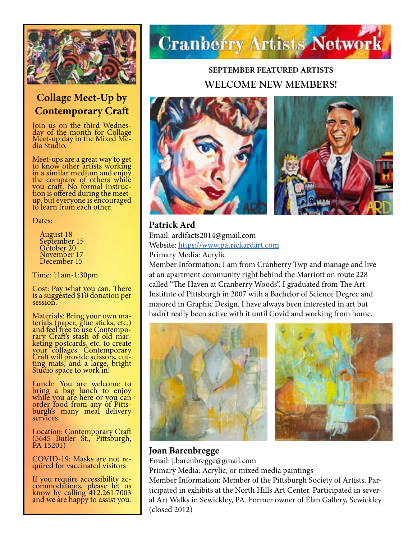

#### **Collage Meet-Up by Contemporary Craft**

Join us on the third Wednes- day of the month for Collage Méet-up day in the Mixed Me-<br>dia Studio.

Meet-ups are a great way to get to know other artists working in a similar medium and enjoy the company of others while you craft. No formal instruc-<br>tion is offered during the meetup, but everyone is encouraged to learn from each other.

Dates:

 August 18 September 15 October 20 November 17 December 15

Time: 11am-1:30pm

Cost: Pay what you can. There is a suggested \$10 donation per session.

Materials: Bring your own ma-<br>terials (paper, glue sticks, etc.) and feel free to use Contempo-<br>rary Craft's stash of old mar-<br>keting postcards, etc. to create your collages. Contemporary Craft will provide scissors, cut-<br>ting mats, and a large, bright ting mats, and a large, bright<br>Studio space to work in!

Lunch: You are welcome to bring a bag lunch to enjoy while you are here or you can order food from any of Pitts- burgh's many meal delivery burgh's many meal delivery<br>services.

Location: Contemporary Craft (5645 Butler St., Pittsburgh, PA 15201)

COVID-19: Masks are not re- quired for vaccinated visitors

If you require accessibility ac- commodations, please let us know by calling 412.261.7003 and we are happy to assist you.

## **Cranberry Artists Network**

#### **SEPTEMBER FEATURED ARTISTS WELCOME NEW MEMBERS!**





**Patrick Ard** Email: ardifacts2014@gmail.com Website:<https://www.patrickardart.com> Primary Media: Acrylic

Member Information: I am from Cranberry Twp and manage and live at an apartment community right behind the Marriott on route 228 called "The Haven at Cranberry Woods". I graduated from The Art Institute of Pittsburgh in 2007 with a Bachelor of Science Degree and majored in Graphic Design. I have always been interested in art but hadn't really been active with it until Covid and working from home.





#### **Joan Barenbregge**

Email: j.barenbregge@gmail.com

Primary Media: Acrylic, or mixed media paintings

Member Information: Member of the Pittsburgh Society of Artists. Participated in exhibits at the North Hills Art Center. Participated in several Art Walks in Sewickley, PA. Former owner of Élan Gallery, Sewickley (closed 2012)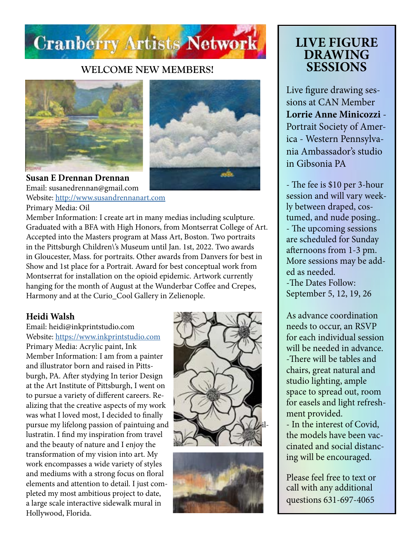

#### **WELCOME NEW MEMBERS!**





**Susan E Drennan Drennan** Email: susanedrennan@gmail.com Website:<http://www.susandrennanart.com>

Primary Media: Oil

Member Information: I create art in many medias including sculpture. Graduated with a BFA with High Honors, from Montserrat College of Art. Accepted into the Masters program at Mass Art, Boston. Two portraits in the Pittsburgh Children\'s Museum until Jan. 1st, 2022. Two awards in Gloucester, Mass. for portraits. Other awards from Danvers for best in Show and 1st place for a Portrait. Award for best conceptual work from Montserrat for installation on the opioid epidemic. Artwork currently hanging for the month of August at the Wunderbar Coffee and Crepes, Harmony and at the Curio\_Cool Gallery in Zelienople.

#### **Heidi Walsh**

Email: heidi@inkprintstudio.com Website:<https://www.inkprintstudio.com> Primary Media: Acrylic paint, Ink Member Information: I am from a painter and illustrator born and raised in Pittsburgh, PA. After stydying In terior Design at the Art Institute of Pittsburgh, I went on to pursue a variety of different careers. Realizing that the creative aspects of my work was what I loved most, I decided to finally pursue my lifelong passion of paintuing and lustratin. I find my inspiration from travel and the beauty of nature and I enjoy the transformation of my vision into art. My work encompasses a wide variety of styles and mediums with a strong focus on floral elements and attention to detail. I just completed my most ambitious project to date, a large scale interactive sidewalk mural in Hollywood, Florida.





#### **LIVE FIGURE DRAWING SESSIONS**

Live figure drawing sessions at CAN Member **Lorrie Anne Minicozzi** - Portrait Society of America - Western Pennsylvania Ambassador's studio in Gibsonia PA

- The fee is \$10 per 3-hour session and will vary weekly between draped, costumed, and nude posing.. - The upcoming sessions are scheduled for Sunday afternoons from 1-3 pm. More sessions may be added as needed. -The Dates Follow: September 5, 12, 19, 26

As advance coordination needs to occur, an RSVP for each individual session will be needed in advance. -There will be tables and chairs, great natural and studio lighting, ample space to spread out, room for easels and light refreshment provided.

- In the interest of Covid, the models have been vaccinated and social distancing will be encouraged.

Please feel free to text or call with any additional questions 631-697-4065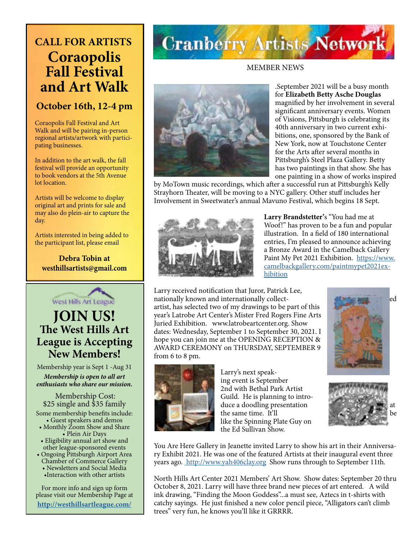#### **CALL FOR ARTISTS Coraopolis Fall Festival and Art Walk**

#### **October 16th, 12-4 pm**

Coraopolis Fall Festival and Art Walk and will be pairing in-person regional artists/artwork with participating businesses.

In addition to the art walk, the fall festival will provide an opportunity to book vendors at the 5th Avenue lot location.

Artists will be welcome to display original art and prints for sale and may also do plein-air to capture the day.

Artists interested in being added to the participant list, please email

**Debra Tobin at westhillsartists@gmail.com**



Membership year is Sept 1 -Aug 31 *Membership is open to all art enthusiasts who share our mission.*

Membership Cost: \$25 single and \$35 family Some membership benefits include: • Guest speakers and demos • Monthly Zoom Show and Share • Plein Air Days

• Eligibility annual art show and other league-sponsored events

• Ongoing Pittsburgh Airport Area Chamber of Commerce Gallery • Newsletters and Social Media •Interaction with other artists

For more info and sign up form please visit our Membership Page at **<http://westhillsartleague.com/>**

## **Cranberry Artists Network**

MEMBER NEWS



.September 2021 will be a busy month for **Elizabeth Betty Asche Douglas**  magnified by her involvement in several significant anniversary events. Women of Visions, Pittsburgh is celebrating its 40th anniversary in two current exhibitions, one, sponsored by the Bank of New York, now at Touchstone Center for the Arts after several months in Pittsburgh's Steel Plaza Gallery. Betty has two paintings in that show. She has one painting in a show of works inspired

by MoTown music recordings, which after a successful run at Pittsburgh's Kelly Strayhorn Theater, will be moving to a NYC gallery. Other stuff includes her Involvement in Sweetwater's annual Mavuno Festival, which begins 18 Sept.



**Larry Brandstetter'**s "You had me at Woof!" has proven to be a fun and popular illustration. In a field of 180 international entries, I'm pleased to announce achieving a Bronze Award in the Camelback Gallery Paint My Pet 2021 Exhibition. [https://www.](https://www.camelbackgallery.com/paintmypet2021exhibition) [camelbackgallery.com/paintmypet2021ex](https://www.camelbackgallery.com/paintmypet2021exhibition)[hibition](https://www.camelbackgallery.com/paintmypet2021exhibition)

Larry received notification that Juror, Patrick Lee, nationally known and internationally collectartist, has selected two of my drawings to be part of this year's Latrobe Art Center's Mister Fred Rogers Fine Arts Juried Exhibition. www.latrobeartcenter.org. Show dates: Wednesday, September 1 to September 30, 2021. I hope you can join me at the OPENING RECEPTION & AWARD CEREMONY on THURSDAY, SEPTEMBER 9 from 6 to 8 pm.





Larry's next speaking event is September 2nd with Bethal Park Artist Guild. He is planning to introduce a doodling presentation the same time. It'll like the Spinning Plate Guy on the Ed Sullivan Show.

You Are Here Gallery in Jeanette invited Larry to show his art in their Anniversary Exhibit 2021. He was one of the featured Artists at their inaugural event three years ago. [http://www.yah406clay.org]( http://www.yah406clay.org) Show runs through to September 11th.

North Hills Art Center 2021 Members' Art Show. Show dates: September 20 thru October 8, 2021. Larry will have three brand new pieces of art entered. A wild ink drawing, "Finding the Moon Goddess"...a must see, Aztecs in t-shirts with catchy sayings. He just finished a new color pencil piece, "Alligators can't climb trees" very fun, he knows you'll like it GRRRR.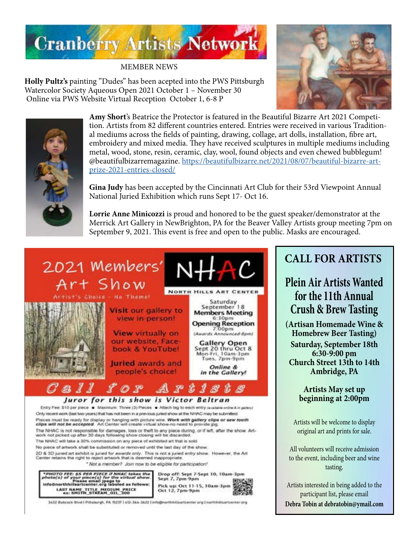

MEMBER NEWS

**Holly Pultz's** painting "Dudes" has been acepted into the PWS Pittsburgh Watercolor Society Aqueous Open 2021 October 1 – November 30 Online via PWS Website Virtual Reception October 1, 6-8 P



**Amy Short**'s Beatrice the Protector is featured in the Beautiful Bizarre Art 2021 Competition. Artists from 82 different countries entered. Entries were received in various Traditional mediums across the fields of painting, drawing, collage, art dolls, installation, fibre art, embroidery and mixed media. They have received sculptures in multiple mediums including metal, wood, stone, resin, ceramic, clay, wool, found objects and even chewed bubblegum! @beautifulbizarremagazine. [https://beautifulbizarre.net/2021/08/07/beautiful-bizarre-art](https://beautifulbizarre.net/2021/08/07/beautiful-bizarre-art-prize-2021-entries-closed/)[prize-2021-entries-closed/](https://beautifulbizarre.net/2021/08/07/beautiful-bizarre-art-prize-2021-entries-closed/)

**Gina Judy** has been accepted by the Cincinnati Art Club for their 53rd Viewpoint Annual National Juried Exhibition which runs Sept 17- Oct 16.

**Lorrie Anne Minicozzi** is proud and honored to be the guest speaker/demonstrator at the Merrick Art Gallery in NewBrighton, PA for the Beaver Valley Artists group meeting 7pm on September 9, 2021. This event is free and open to the public. Masks are encouraged.



The NHAC will take a 30% commission on any piece of exhibited art that is sold

No piece of artwork shall be substituted or removed until the last day of the show.

2D & 3D juried art exhibit is juried for awards only. This is not a juried entry show. However, the Art<br>Center retains the right to reject artwork that is deemed inappropriate.

\* Not a member? Join now to be eligible for participation!

\*PHOTO FEE: \$5 PER PIECE if NNAC takes the<br>photo(s) of your piece(s) for the virtual show.<br>info@northhillsartcenter.org labeled as follows: **LAST NAME TITLE MEDIUM PRICE**<br>ex: SMITH STREAM OIL 300



3432 Babcock Blvd | Pittsburgh, PA 15237 | 412-364-3622 | info@northhillsartcenter.org | northhillsartcenter.org

#### **CALL FOR ARTISTS**

#### **Plein Air Artists Wanted for the 11th Annual Crush & Brew Tasting**

**(Artisan Homemade Wine & Homebrew Beer Tasting) Saturday, September 18th 6:30-9:00 pm Church Street 13th to 14th Ambridge, PA**

> **Artists May set up beginning at 2:00pm**

Artists will be welcome to display original art and prints for sale.

All volunteers will receive admission to the event, including beer and wine tasting.

Artists interested in being added to the participant list, please email **Debra Tobin at debratobin@ymail.com**

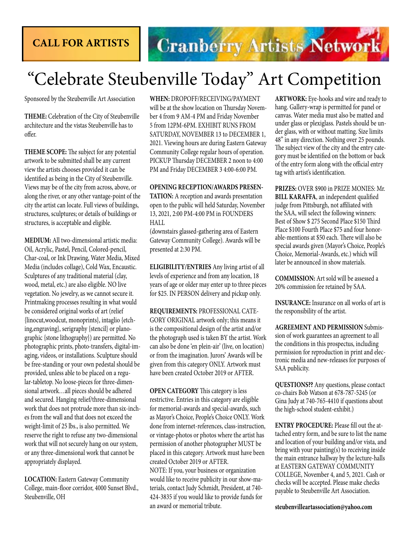#### **CALL FOR ARTISTS**

## **Cranberry Artists Network**

### "Celebrate Steubenville Today" Art Competition

Sponsored by the Steubenville Art Association

**THEME:** Celebration of the City of Steubenville architecture and the vistas Steubenville has to offer.

**THEME SCOPE:** The subject for any potential artwork to be submitted shall be any current view the artists chooses provided it can be identified as being in the City of Steubenville. Views may be of the city from across, above, or along the river, or any other vantage-point of the city the artist can locate. Full views of buildings, structures, sculptures; or details of buildings or structures, is acceptable and eligible.

**MEDIUM:** All two-dimensional artistic media: Oil, Acrylic, Pastel, Pencil, Colored-pencil, Char-coal, or Ink Drawing, Water Media, Mixed Media (includes collage), Cold Wax, Encaustic. Sculptures of any traditional material (clay, wood, metal, etc.) are also eligible. NO live vegetation. No jewelry, as we cannot secure it. Printmaking processes resulting in what would be considered original works of art (relief {linocut,woodcut, monoprints}, intaglio {etching,engraving}, serigraphy {stencil} or planographic {stone lithography}) are permitted. No photographic prints, photo-transfers, digital-imaging, videos, or installations. Sculpture should be free-standing or your own pedestal should be provided, unless able to be placed on a regular-tabletop. No loose-pieces for three-dimensional artwork…all pieces should be adhered and secured. Hanging relief/three-dimensional work that does not protrude more than six-inches from the wall and that does not exceed the weight-limit of 25 lbs., is also permitted. We reserve the right to refuse any two-dimensional work that will not securely hang on our system, or any three-dimensional work that cannot be appropriately displayed.

**LOCATION:** Eastern Gateway Community College, main-floor corridor, 4000 Sunset Blvd., Steubenville, OH

**WHEN:** DROPOFF/RECEIVING/PAYMENT will be at the show location on Thursday November 4 from 9 AM-4 PM and Friday November 5 from 12PM-6PM. EXHIBIT RUNS FROM SATURDAY, NOVEMBER 13 to DECEMBER 1, 2021. Viewing hours are during Eastern Gateway Community College regular hours of operation. PICKUP Thursday DECEMBER 2 noon to 4:00 PM and Friday DECEMBER 3 4:00-6:00 PM.

#### **OPENING RECEPTION/AWARDS PRESEN-**

**TATION:** A reception and awards presentation open to the public will held Saturday, November 13, 2021, 2:00 PM-4:00 PM in FOUNDERS HALL

(downstairs glassed-gathering area of Eastern Gateway Community College). Awards will be presented at 2:30 PM.

**ELIGIBILITY/ENTRIES** Any living artist of all levels of experience and from any location, 18 years of age or older may enter up to three pieces for \$25. IN PERSON delivery and pickup only.

**REQUIREMENTS:** PROFESSIONAL CATE-GORY ORIGINAL artwork only; this means it is the compositional design of the artist and/or the photograph used is taken BY the artist. Work can also be done 'en plein-air' (live, on location) or from the imagination. Jurors' Awards will be given from this category ONLY. Artwork must have been created October 2019 or AFTER.

**OPEN CATEGORY** This category is less restrictive. Entries in this category are eligible for memorial-awards and special-awards, such as Mayor's Choice, People's Choice ONLY. Work done from internet-references, class-instruction, or vintage-photos or photos where the artist has permission of another photographer MUST be placed in this category. Artwork must have been created October 2019 or AFTER.

NOTE: If you, your business or organization would like to receive publicity in our show-materials, contact Judy Schmidt, President, at 740- 424-3835 if you would like to provide funds for an award or memorial tribute.

**ARTWORK:** Eye-hooks and wire and ready to hang. Gallery-wrap is permitted for panel or canvas. Water media must also be matted and under glass or plexiglass. Pastels should be under glass, with or without matting. Size limits 48" in any direction. Nothing over 25 pounds. The subject view of the city and the entry category must be identified on the bottom or back of the entry form along with the official entry tag with artist's identification.

**PRIZES:** OVER \$900 in PRIZE MONIES: Mr. **BILL KARAFFA**, an independent qualified judge from Pittsburgh, not affiliated with the SAA, will select the following winners: Best of Show \$ 275 Second Place \$150 Third Place \$100 Fourth Place \$75 and four honorable-mentions at \$50 each. There will also be special awards given (Mayor's Choice, People's Choice, Memorial-Awards, etc.) which will later be announced in show materials.

**COMMISSION:** Art sold will be assessed a 20% commission fee retained by SAA.

**INSURANCE:** Insurance on all works of art is the responsibility of the artist.

**AGREEMENT AND PERMISSION** Submission of work guarantees an agreement to all the conditions in this prospectus, including permission for reproduction in print and electronic media and new-releases for purposes of SAA publicity.

**QUESTIONS??** Any questions, please contact co-chairs Bob Watson at 678-787-5245 (or Gina Judy at 740-765-4410 if questions about the high-school student-exhibit.)

**ENTRY PROCEDURE:** Please fill out the attached entry form, and be sure to list the name and location of your building and/or vista, and bring with your painting(s) to receiving inside the main entrance hallway by the lecture-halls at EASTERN GATEWAY COMMUNITY COLLEGE, November 4, and 5, 2021. Cash or checks will be accepted. Please make checks payable to Steubenville Art Association.

**steubenvilleartassociation@yahoo.com**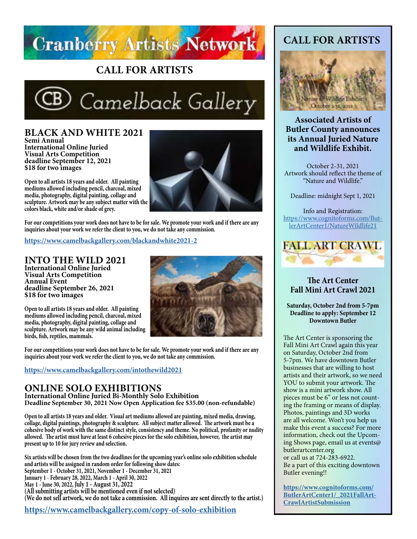

#### **CALL FOR ARTISTS**



**BLACK AND WHITE 2021 Semi Annual International Online Juried Visual Arts Competition deadline September 12, 2021 \$18 for two images**

**Open to all artists 18 years and older. All painting mediums allowed including pencil, charcoal, mixed media, photography, digital painting, collage and sculpture. Artwork may be any subject matter with the colors black, white and/or shade of grey.**



**For our competitions your work does not have to be for sale. We promote your work and if there are any inquiries about your work we refer the client to you, we do not take any commission.**

**https://www.camelbackgallery.com/blackandwhite2021-2**

**INTO THE WILD 2021 International Online Juried Visual Arts Competition Annual Event deadline September 26, 2021 \$18 for two images**

**Open to all artists 18 years and older. All painting mediums allowed including pencil, charcoal, mixed media, photography, digital painting, collage and sculpture. Artwork may be any wild animal including birds, fish, reptiles, mammals.**



**For our competitions your work does not have to be for sale. We promote your work and if there are any inquiries about your work we refer the client to you, we do not take any commission.**

#### **<https://www.camelbackgallery.com/intothewild2021>**

#### **ONLINE SOLO EXHIBITIONS**

**International Online Juried Bi-Monthly Solo Exhibition Deadline September 30, 2021 Now Open Application fee \$35.00 (non-refundable)**

**Open to all artists 18 years and older. Visual art mediums allowed are painting, mixed media, drawing, collage, digital paintings, photography & sculpture. All subject matter allowed. The artwork must be a cohesive body of work with the same distinct style, consistency and theme. No political, profanity or nudity allowed. The artist must have at least 6 cohesive pieces for the solo exhibition, however, the artist may present up to 10 for jury review and selection.** 

**Six artists will be chosen from the two deadlines for the upcoming year's online solo exhibition schedule and artists will be assigned in random order for following show dates: September 1 - October 31, 2021, November 1 - December 31, 2021 January 1 - February 28, 2022, March 1 - April 30, 2022 May 1 - June 30, 2022, July 1 - August 31, 2022 (All submitting artists will be mentioned even if not selected) (We do not sell artwork, we do not take a commission. All inquires are sent directly to the artist.)**

**<https://www.camelbackgallery.com/copy-of-solo-exhibition>**

#### **CALL FOR ARTISTS**



#### **Associated Artists of Butler County announces its Annual Juried Nature and Wildlife Exhibit.**

October 2-31, 2021 Artwork should reflect the theme of "Nature and Wildlife."

Deadline: midnight Sept 1, 2021

Info and Registration: [https://www.cognitoforms.com/But](https://www.cognitoforms.com/ButlerArtCenter1/NatureWildlife21)[lerArtCenter1/NatureWildlife21](https://www.cognitoforms.com/ButlerArtCenter1/NatureWildlife21)



**The Art Center Fall Mini Art Crawl 2021**

**Saturday, October 2nd from 5-7pm Deadline to apply: September 12 Downtown Butler**

The Art Center is sponsoring the Fall Mini Art Crawl again this year on Saturday, October 2nd from 5-7pm. We have downtown Butler businesses that are willing to host artists and their artwork, so we need YOU to submit your artwork. The show is a mini artwork show. All pieces must be 6" or less not counting the framing or means of display. Photos, paintings and 3D works are all welcome. Won't you help us make this event a success? For more information, check out the Upcoming Shows page, email us at events@ butlerartcenter.org or call us at 724-283-6922.

Be a part of this exciting downtown Butler evening!!

**[https://www.cognitoforms.com/](https://www.cognitoforms.com/ButlerArtCenter1/_2021FallArtCrawlArtistSubmission) [ButlerArtCenter1/\\_2021FallArt-](https://www.cognitoforms.com/ButlerArtCenter1/_2021FallArtCrawlArtistSubmission)[CrawlArtistSubmission](https://www.cognitoforms.com/ButlerArtCenter1/_2021FallArtCrawlArtistSubmission)**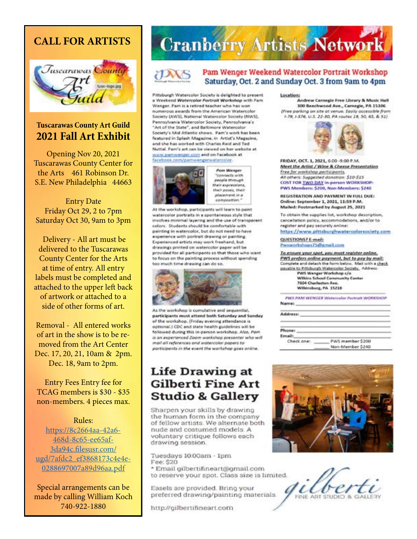#### **CALL FOR ARTISTS**



#### **Tuscarawas County Art Guild 2021 Fall Art Exhibit**

Opening Nov 20, 2021 Tuscarawas County Center for the Arts 461 Robinson Dr. S.E. New Philadelphia 44663

Entry Date Friday Oct 29, 2 to 7pm Saturday Oct 30, 9am to 3pm

 Delivery - All art must be delivered to the Tuscarawas County Center for the Arts at time of entry. All entry labels must be completed and attached to the upper left back of artwork or attached to a side of other forms of art.

Removal - All entered works of art in the show is to be removed from the Art Center Dec. 17, 20, 21, 10am & 2pm. Dec. 18, 9am to 2pm.

Entry Fees Entry fee for TCAG members is \$30 - \$35 non-members. 4 pieces max.

#### Rules:

[https://8c2664aa-42a6-](https://8c2664aa-42a6-468d-8c65-ee65af3da94c.filesusr.com/ugd/7afdc2_ef3868173c4e4e0288697007a89d96aa.pdf) [468d-8c65-ee65af-](https://8c2664aa-42a6-468d-8c65-ee65af3da94c.filesusr.com/ugd/7afdc2_ef3868173c4e4e0288697007a89d96aa.pdf)[3da94c.filesusr.com/](https://8c2664aa-42a6-468d-8c65-ee65af3da94c.filesusr.com/ugd/7afdc2_ef3868173c4e4e0288697007a89d96aa.pdf) [ugd/7afdc2\\_ef3868173c4e4e-](https://8c2664aa-42a6-468d-8c65-ee65af3da94c.filesusr.com/ugd/7afdc2_ef3868173c4e4e0288697007a89d96aa.pdf)[0288697007a89d96aa.pdf](https://8c2664aa-42a6-468d-8c65-ee65af3da94c.filesusr.com/ugd/7afdc2_ef3868173c4e4e0288697007a89d96aa.pdf)

Special arrangements can be made by calling William Koch 740-922-1880

## **Cranberry Artists Network**



#### Pam Wenger Weekend Watercolor Portrait Workshop Saturday, Oct. 2 and Sunday Oct. 3 from 9am to 4pm

Pittsburgh Watercolor Society is delighted to present a Weekend Watercolor Portroit Workshop with Pam Wenger. Pam is a retired teacher who has won numerous awards from the American Watercolor Society [AWS], National Watercolor Society (NWS), Pennsylvania Watercolor Society, Pennsylvania's "Art of the State", and Baltimore Watercolor Society's Mid Atlantic shows. Pam's work has been featured in Splash Magazine, in Artist's Magazine, and the has worked with Charles Reid and Ted Nuttal. Pam's art can be viewed on her website at www.pamwenger.com and on Facebook at facebook.com/pamwengerwatercolor.



**Total added with** people through their expressions, their pases, their placement in a composition.

Pam Wenger

At the workshop, participants will learn to paint watercolor portraits in a spontaneous style that involves minimal layering and the use of transparent colors. Students should be comfortable with painting in watercolor, but do not need to have experience with portrait drawing or painting. Experienced artists may work freehand, but drawings printed on watercolor paper will be provided for all participants so that those who want to focus on the painting process without spending too much time drawing can do so.



As the workshop is cumulative and sequential, participants must attend both Saturday and Sunday of the workshop. (Friday evening attendance is optional.) CDC and state health guidelines will be followed during this in-person workshop. Also, Pan is an experienced Zoom workshop presenter who will mail all references and watercolor papers to participants in the event the workshop goes online.

#### **Life Drawing at Gilberti Fine Art Studio & Gallery**

Sharpen your skills by drawing the human form in the company of fellow artists. We alternate both nude and costumed models. A voluntary critique follows each drawing session.

Tuesdays 10.00am - 1pm Fee: \$20 \* Email gilbertifineart@gmail.com to reserve your spot. Class size is limited.

Easels are provided. Bring your preferred drawing/painting materials.

http://gilbertifineart.com

#### Location:

Andrew Carnegie Free Library & Music Hall 300 Beechwood Ave., Carnegie, PA 15106 (Free parking on site at venue. Easily accessible from 1-79, 1-576, U.S. 22-30, PA routes 19, 50, 65, & 51)



FRIDAY, OCT. 1, 2021, 6:00 -9:00 P.M. Meet the Artist / Wine & Cheese Presentation Free for workshop porticipants, All others: Suggested donation: \$10-\$15 COST FOR TWO DAY in-person WORKSHOP: PWS Members: \$200, Non-Members: \$240

REGISTRATION AND PAYMENT IN FULL DUE: Online: September 1, 2021, 11:59 P.M. Mailed: Postmarked by August 25, 2021

To obtain the supplies list, workshop description, cancellation policy, accommodations, and/or to register and pay securely online:

https://www.pittsburghwatercolorsociety.com

QUESTIONS? E-mail: Pwwwerkshops75@gmail.com

To ensure your spot, you must register online, PWS prefers online payment, but to pay by mail: Complete and detach the form below. Mail with a check payable to Pittsburgh Watercolor Society. Address:

PWS Wenger Workshop c/o **Wilkins School Community Center** 7604 Charleston Ave. Wilkinsburg, PA 15218

PWS PAM WENGER Wetercolor Portrait WORKSHOP. Name:

| PWS member \$200<br>Non-Member \$240 |  |
|--------------------------------------|--|



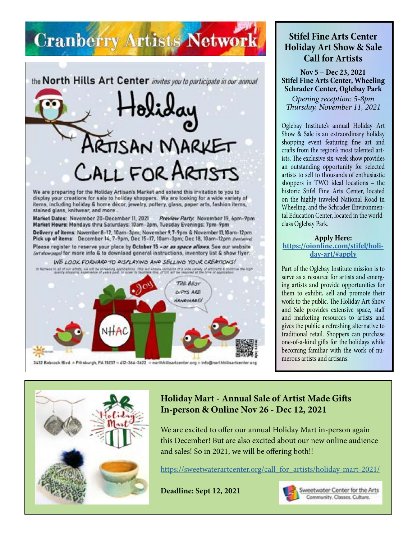## **Cranberry Artists Network**

the North Hills Art Center invites you to participate in our annual

# **TISAN MARKET** CALL FOR ARTISTS

We are preparing for the Holiday Artisan's Market and extend this invitation to you to display your creations for sale to holiday shoppers. We are looking for a wide variety of items, including holiday & home decor, jewelry, pottery, glass, paper arts, fashion items, stained glass, knitwear, and more

Market Dates: November 20-December 11, 2021 Preview Party: November 19, 6pm-9pm Market Hours: Mondays thru Saturdays: 10am-3pm, Tuesday Evenings: 7pm-9pm Delivery of items: November 8-12, 10am-3pm; November 9, 7-9pm & November 13, 10am-12pm Pick up of items: December 14, 7-9pm, Dec 15-17, 10am-3pm; Dec 18, 10am-12pm (tentative) Please register to reserve your place by October 15 - or as space allows. See our website (artshowpape) for more info & to download general instructions, inventory list & show flyer.

WE LOOK FORWARD TO DISPLAYING AND SELLING YOUR CREATIONS!



#### **Stifel Fine Arts Center Holiday Art Show & Sale Call for Artists**

**Nov 5 – Dec 23, 2021 Stifel Fine Arts Center, Wheeling Schrader Center, Oglebay Park**

*Opening reception: 5-8pm Thursday, November 11, 2021*

Oglebay Institute's annual Holiday Art Show & Sale is an extraordinary holiday shopping event featuring fine art and crafts from the region's most talented artists. The exclusive six-week show provides an outstanding opportunity for selected artists to sell to thousands of enthusiastic shoppers in TWO ideal locations – the historic Stifel Fine Arts Center, located on the highly traveled National Road in Wheeling, and the Schrader Environmental Education Center, located in the worldclass Oglebay Park.

#### **Apply Here:**

#### **[https://oionline.com/stifel/holi](https://oionline.com/stifel/holiday-art/#apply)[day-art/#apply](https://oionline.com/stifel/holiday-art/#apply)**

Part of the Oglebay Institute mission is to serve as a resource for artists and emerging artists and provide opportunities for them to exhibit, sell and promote their work to the public. The Holiday Art Show and Sale provides extensive space, staff and marketing resources to artists and gives the public a refreshing alternative to traditional retail. Shoppers can purchase one-of-a-kind gifts for the holidays while becoming familiar with the work of numerous artists and artisans.



#### **Holiday Mart - Annual Sale of Artist Made Gifts In-person & Online Nov 26 - Dec 12, 2021**

We are excited to offer our annual Holiday Mart in-person again this December! But are also excited about our new online audience and sales! So in 2021, we will be offering both!!

[https://sweetwaterartcenter.org/call\\_for\\_artists/holiday-mart-2021/](https://sweetwaterartcenter.org/call_for_artists/holiday-mart-2021/)

**Deadline: Sept 12, 2021**



Sweetwater Center for the Arts Community. Classes. Culture.